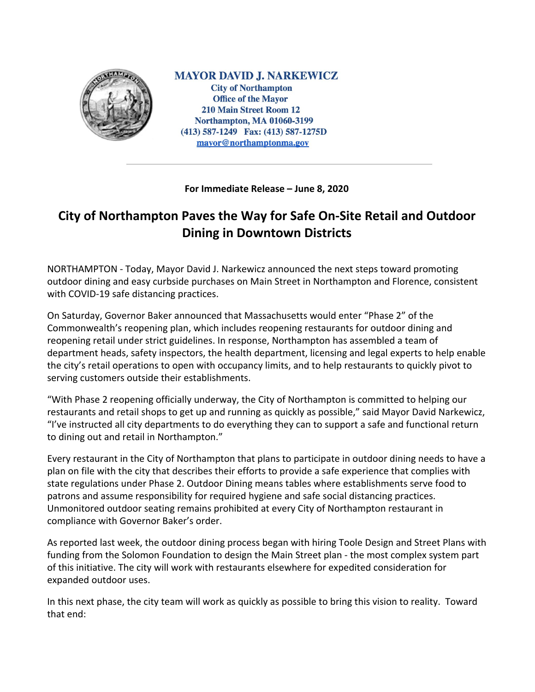

**MAYOR DAVID J. NARKEWICZ City of Northampton Office of the Mayor 210 Main Street Room 12 Northampton, MA 01060-3199** (413) 587-1249 Fax: (413) 587-1275D mayor@northamptonma.gov

**For Immediate Release – June 8, 2020**

## **City of Northampton Paves the Way for Safe On-Site Retail and Outdoor Dining in Downtown Districts**

NORTHAMPTON - Today, Mayor David J. Narkewicz announced the next steps toward promoting outdoor dining and easy curbside purchases on Main Street in Northampton and Florence, consistent with COVID-19 safe distancing practices.

On Saturday, Governor Baker announced that Massachusetts would enter "Phase 2" of the Commonwealth's reopening plan, which includes reopening restaurants for outdoor dining and reopening retail under strict guidelines. In response, Northampton has assembled a team of department heads, safety inspectors, the health department, licensing and legal experts to help enable the city's retail operations to open with occupancy limits, and to help restaurants to quickly pivot to serving customers outside their establishments.

"With Phase 2 reopening officially underway, the City of Northampton is committed to helping our restaurants and retail shops to get up and running as quickly as possible," said Mayor David Narkewicz, "I've instructed all city departments to do everything they can to support a safe and functional return to dining out and retail in Northampton."

Every restaurant in the City of Northampton that plans to participate in outdoor dining needs to have a plan on file with the city that describes their efforts to provide a safe experience that complies with state regulations under Phase 2. Outdoor Dining means tables where establishments serve food to patrons and assume responsibility for required hygiene and safe social distancing practices. Unmonitored outdoor seating remains prohibited at every City of Northampton restaurant in compliance with Governor Baker's order.

As reported last week, the outdoor dining process began with hiring Toole Design and Street Plans with funding from the Solomon Foundation to design the Main Street plan - the most complex system part of this initiative. The city will work with restaurants elsewhere for expedited consideration for expanded outdoor uses.

In this next phase, the city team will work as quickly as possible to bring this vision to reality. Toward that end: